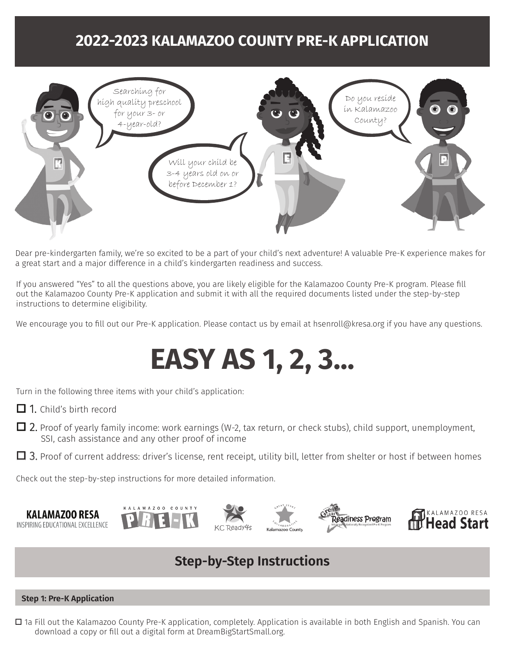## **2022-2023 KALAMAZOO COUNTY PRE-K APPLICATION**



Dear pre-kindergarten family, we're so excited to be a part of your child's next adventure! A valuable Pre-K experience makes for a great start and a major difference in a child's kindergarten readiness and success.

If you answered "Yes" to all the questions above, you are likely eligible for the Kalamazoo County Pre-K program. Please fill out the Kalamazoo County Pre-K application and submit it with all the required documents listed under the step-by-step instructions to determine eligibility.

We encourage you to fill out our Pre-K application. Please contact us by email at hsenroll@kresa.org if you have any questions.

# **EASY AS 1, 2, 3...**

Turn in the following three items with your child's application:

- $\Box$  1. Child's birth record
- $\Box$  2. Proof of yearly family income: work earnings (W-2, tax return, or check stubs), child support, unemployment, SSI, cash assistance and any other proof of income
- $\Box$  3. Proof of current address: driver's license, rent receipt, utility bill, letter from shelter or host if between homes

Check out the step-by-step instructions for more detailed information.











### **Step-by-Step Instructions**

#### **Step 1: Pre-K Application**

□ 1a Fill out the Kalamazoo County Pre-K application, completely. Application is available in both English and Spanish. You can download a copy or fill out a digital form at DreamBigStartSmall.org.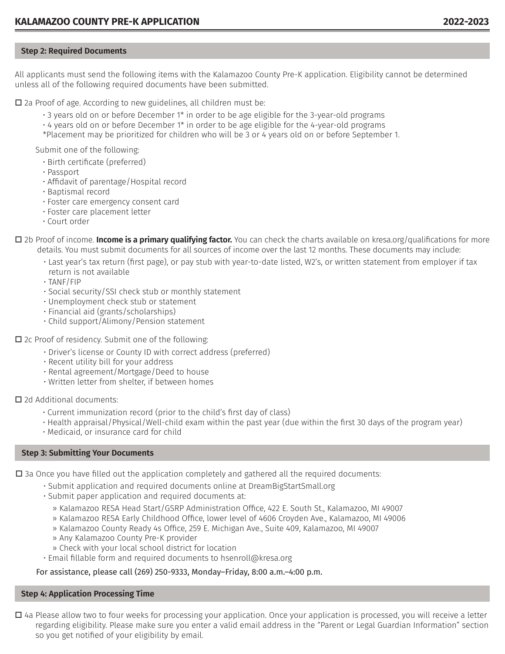#### **Step 2: Required Documents**

All applicants must send the following items with the Kalamazoo County Pre-K application. Eligibility cannot be determined unless all of the following required documents have been submitted.

 $\Box$  2a Proof of age. According to new guidelines, all children must be:

- 3 years old on or before December 1\* in order to be age eligible for the 3-year-old programs
- $\cdot$  4 years old on or before December 1\* in order to be age eligible for the 4-year-old programs
- \*Placement may be prioritized for children who will be 3 or 4 years old on or before September 1.

Submit one of the following:

- Birth certificate (preferred)
- Passport
- Affidavit of parentage/Hospital record
- Baptismal record
- Foster care emergency consent card
- Foster care placement letter
- Court order

□ 2b Proof of income. **Income is a primary qualifying factor.** You can check the charts available on kresa.org/qualifications for more details. You must submit documents for all sources of income over the last 12 months. These documents may include:

- Last year's tax return (first page), or pay stub with year-to-date listed, W2's, or written statement from employer if tax return is not available
- TANF/FIP
- Social security/SSI check stub or monthly statement
- Unemployment check stub or statement
- Financial aid (grants/scholarships)
- Child support/Alimony/Pension statement
- $\square$  2c Proof of residency. Submit one of the following:
	- Driver's license or County ID with correct address (preferred)
	- Recent utility bill for your address
	- Rental agreement/Mortgage/Deed to house
	- Written letter from shelter, if between homes

D 2d Additional documents:

- Current immunization record (prior to the child's first day of class)
- Health appraisal/Physical/Well-child exam within the past year (due within the first 30 days of the program year)
- Medicaid, or insurance card for child

#### **Step 3: Submitting Your Documents**

 $\square$  3a Once you have filled out the application completely and gathered all the required documents:

- Submit application and required documents online at DreamBigStartSmall.org
- Submit paper application and required documents at:
	- » Kalamazoo RESA Head Start/GSRP Administration Office, 422 E. South St., Kalamazoo, MI 49007
	- » Kalamazoo RESA Early Childhood Office, lower level of 4606 Croyden Ave., Kalamazoo, MI 49006
	- » Kalamazoo County Ready 4s Office, 259 E. Michigan Ave., Suite 409, Kalamazoo, MI 49007
	- » Any Kalamazoo County Pre-K provider
	- » Check with your local school district for location
- Email fillable form and required documents to hsenroll@kresa.org

#### For assistance, please call (269) 250-9333, Monday–Friday, 8:00 a.m.–4:00 p.m.

#### **Step 4: Application Processing Time**

 $\Box$  4a Please allow two to four weeks for processing your application. Once your application is processed, you will receive a letter regarding eligibility. Please make sure you enter a valid email address in the "Parent or Legal Guardian Information" section so you get notified of your eligibility by email.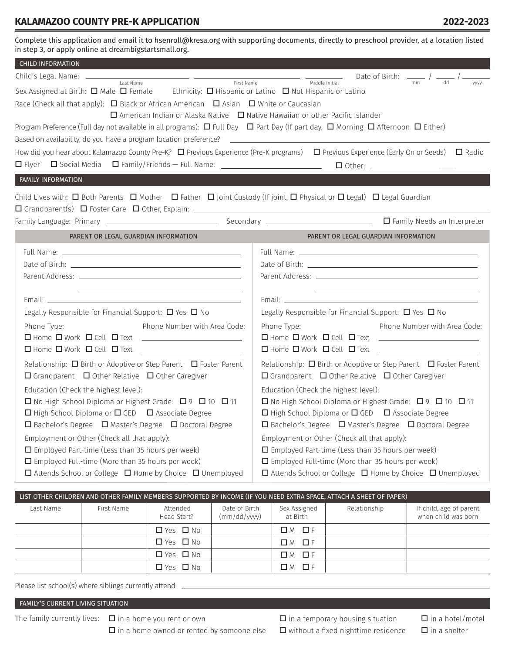#### **KALAMAZOO COUNTY PRE-K APPLICATION 2022-2023**

Complete this application and email it to hsenroll@kresa.org with supporting documents, directly to preschool provider, at a location listed in step 3, or apply online at dreambigstartsmall.org.

| <b>CHILD INFORMATION</b>                                                                                                                                                                                                                                                                                                                                                                                                                                                                                                                                                                                                                                                                 |                                                                                                                                                                                                                                                                                                                                                                                                                                                                                                                                                                                                                                                                                                                                                                                                                                                                                                             |  |  |  |  |
|------------------------------------------------------------------------------------------------------------------------------------------------------------------------------------------------------------------------------------------------------------------------------------------------------------------------------------------------------------------------------------------------------------------------------------------------------------------------------------------------------------------------------------------------------------------------------------------------------------------------------------------------------------------------------------------|-------------------------------------------------------------------------------------------------------------------------------------------------------------------------------------------------------------------------------------------------------------------------------------------------------------------------------------------------------------------------------------------------------------------------------------------------------------------------------------------------------------------------------------------------------------------------------------------------------------------------------------------------------------------------------------------------------------------------------------------------------------------------------------------------------------------------------------------------------------------------------------------------------------|--|--|--|--|
| <u> 1989 - Johann Harry Barn, mars and de Branch and de Branch and de Branch and de Branch and de Branch and de B</u><br>First Name                                                                                                                                                                                                                                                                                                                                                                                                                                                                                                                                                      | Date of Birth: $\frac{1}{\sqrt{2}}$ / $\frac{1}{\sqrt{2}}$<br>Middle Initial<br>mm<br>dd                                                                                                                                                                                                                                                                                                                                                                                                                                                                                                                                                                                                                                                                                                                                                                                                                    |  |  |  |  |
| Sex Assigned at Birth: $\Box$ Male $\Box$ Female Ethnicity: $\Box$ Hispanic or Latino $\Box$ Not Hispanic or Latino<br>Race (Check all that apply): $\Box$ Black or African American $\Box$ Asian $\Box$ White or Caucasian<br>$\Box$ American Indian or Alaska Native $\Box$ Native Hawaiian or other Pacific Islander<br>Program Preference (Full day not available in all programs): $\Box$ Full Day $\Box$ Part Day (If part day, $\Box$ Morning $\Box$ Afternoon $\Box$ Either)                                                                                                                                                                                                     | уууу                                                                                                                                                                                                                                                                                                                                                                                                                                                                                                                                                                                                                                                                                                                                                                                                                                                                                                        |  |  |  |  |
| Based on availability, do you have a program location preference? <u>[11]</u> [12] The control of the control of the control of the control of the control of the control of the control of the control of the control of the contr                                                                                                                                                                                                                                                                                                                                                                                                                                                      |                                                                                                                                                                                                                                                                                                                                                                                                                                                                                                                                                                                                                                                                                                                                                                                                                                                                                                             |  |  |  |  |
| How did you hear about Kalamazoo County Pre-K? $\Box$ Previous Experience (Pre-K programs) $\Box$ Previous Experience (Early On or Seeds) $\Box$ Radio                                                                                                                                                                                                                                                                                                                                                                                                                                                                                                                                   |                                                                                                                                                                                                                                                                                                                                                                                                                                                                                                                                                                                                                                                                                                                                                                                                                                                                                                             |  |  |  |  |
| $\Box$ Flyer $\Box$ Social Media $\Box$ Family/Friends — Full Name: _________________________<br>$\Box$ Other:                                                                                                                                                                                                                                                                                                                                                                                                                                                                                                                                                                           |                                                                                                                                                                                                                                                                                                                                                                                                                                                                                                                                                                                                                                                                                                                                                                                                                                                                                                             |  |  |  |  |
| FAMILY INFORMATION                                                                                                                                                                                                                                                                                                                                                                                                                                                                                                                                                                                                                                                                       |                                                                                                                                                                                                                                                                                                                                                                                                                                                                                                                                                                                                                                                                                                                                                                                                                                                                                                             |  |  |  |  |
| Child Lives with: $\Box$ Both Parents $\Box$ Mother $\Box$ Father $\Box$ Joint Custody (If joint, $\Box$ Physical or $\Box$ Legal) $\Box$ Legal Guardian                                                                                                                                                                                                                                                                                                                                                                                                                                                                                                                                 |                                                                                                                                                                                                                                                                                                                                                                                                                                                                                                                                                                                                                                                                                                                                                                                                                                                                                                             |  |  |  |  |
|                                                                                                                                                                                                                                                                                                                                                                                                                                                                                                                                                                                                                                                                                          |                                                                                                                                                                                                                                                                                                                                                                                                                                                                                                                                                                                                                                                                                                                                                                                                                                                                                                             |  |  |  |  |
| PARENT OR LEGAL GUARDIAN INFORMATION                                                                                                                                                                                                                                                                                                                                                                                                                                                                                                                                                                                                                                                     | PARENT OR LEGAL GUARDIAN INFORMATION                                                                                                                                                                                                                                                                                                                                                                                                                                                                                                                                                                                                                                                                                                                                                                                                                                                                        |  |  |  |  |
| Legally Responsible for Financial Support: $\Box$ Yes $\Box$ No<br>Phone Type:<br>Phone Number with Area Code:<br>$\Box$ Home $\Box$ Work $\Box$ Cell $\Box$ Text $\Box$<br>Relationship: $\Box$ Birth or Adoptive or Step Parent $\Box$ Foster Parent<br>$\Box$ Grandparent $\Box$ Other Relative $\Box$ Other Caregiver<br>Education (Check the highest level):<br>□ No High School Diploma or Highest Grade: □ 9 □ 10 □ 11<br>$\Box$ High School Diploma or $\Box$ GED $\Box$ Associate Degree<br>$\Box$ Bachelor's Degree $\Box$ Master's Degree $\Box$ Doctoral Degree<br>Employment or Other (Check all that apply):<br>$\square$ Employed Part-time (Less than 35 hours per week) | Parent Address: The Communication of the Communication of the Communication of the Communication of the Communication of the Communication of the Communication of the Communication of the Communication of the Communication<br>Legally Responsible for Financial Support: $\Box$ Yes $\Box$ No<br>Phone Type:<br>Phone Number with Area Code:<br>$\square$ Home $\square$ Work $\square$ Cell $\square$ Text $\square$<br>Relationship: $\Box$ Birth or Adoptive or Step Parent $\Box$ Foster Parent<br>$\Box$ Grandparent $\Box$ Other Relative $\Box$ Other Caregiver<br>Education (Check the highest level):<br>□ No High School Diploma or Highest Grade: □ 9 □ 10 □ 11<br>□ High School Diploma or □ GED □ Associate Degree<br>□ Bachelor's Degree □ Master's Degree □ Doctoral Degree<br>Employment or Other (Check all that apply):<br>$\square$ Employed Part-time (Less than 35 hours per week) |  |  |  |  |

| LIST OTHER CHILDREN AND OTHER FAMILY MEMBERS SUPPORTED BY INCOME (IF YOU NEED EXTRA SPACE, ATTACH A SHEET OF PAPER) |            |                         |                              |                          |              |                                                |  |
|---------------------------------------------------------------------------------------------------------------------|------------|-------------------------|------------------------------|--------------------------|--------------|------------------------------------------------|--|
| Last Name                                                                                                           | First Name | Attended<br>Head Start? | Date of Birth<br>(mm/dd/yyy) | Sex Assigned<br>at Birth | Relationship | If child, age of parent<br>when child was born |  |
|                                                                                                                     |            | $\Box$ Yes $\Box$ No    |                              | $\Box M$ $\Box F$        |              |                                                |  |
|                                                                                                                     |            | $\Box$ Yes $\Box$ No    |                              | $\Box M$ $\Box F$        |              |                                                |  |
|                                                                                                                     |            | □ Yes □ No              |                              | $\Box M$ $\Box F$        |              |                                                |  |
|                                                                                                                     |            | $\Box$ Yes $\Box$ No    |                              | $\Box M$ $\Box F$        |              |                                                |  |

Please list school(s) where siblings currently attend:

FAMILY'S CURRENT LIVING SITUATION

The family currently lives:  $\Box$  in a home you rent or own

 $\square$  in a home owned or rented by someone else

 $\square$  in a temporary housing situation  $\square$  without a fixed nighttime residence  $\Box$  in a hotel/motel  $\Box$  in a shelter